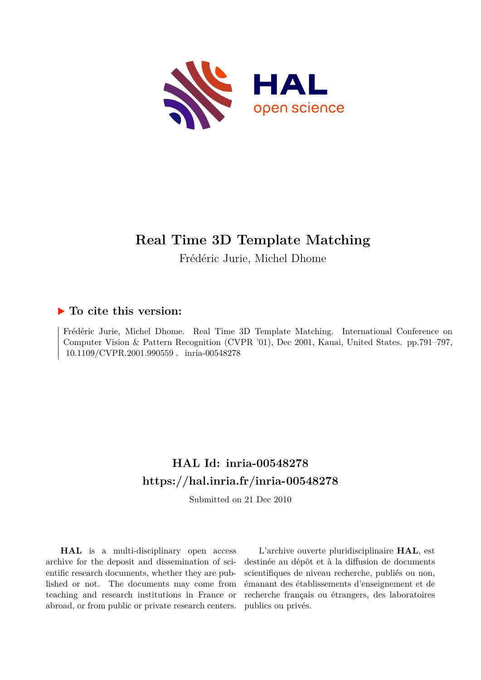

# **Real Time 3D Template Matching**

Frédéric Jurie, Michel Dhome

## **To cite this version:**

Frédéric Jurie, Michel Dhome. Real Time 3D Template Matching. International Conference on Computer Vision & Pattern Recognition (CVPR '01), Dec 2001, Kauai, United States. pp.791–797,  $10.1109/CVPR.2001.990559$ . inria-00548278

# **HAL Id: inria-00548278 <https://hal.inria.fr/inria-00548278>**

Submitted on 21 Dec 2010

**HAL** is a multi-disciplinary open access archive for the deposit and dissemination of scientific research documents, whether they are published or not. The documents may come from teaching and research institutions in France or abroad, or from public or private research centers.

L'archive ouverte pluridisciplinaire **HAL**, est destinée au dépôt et à la diffusion de documents scientifiques de niveau recherche, publiés ou non, émanant des établissements d'enseignement et de recherche français ou étrangers, des laboratoires publics ou privés.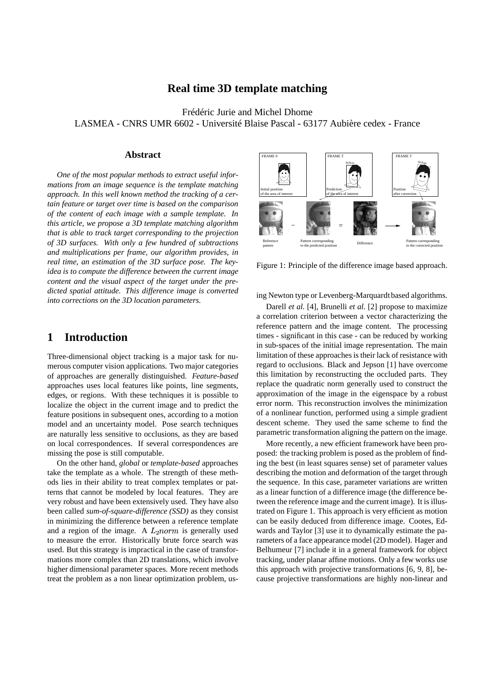## **Real time 3D template matching**

Frédéric Jurie and Michel Dhome LASMEA - CNRS UMR 6602 - Université Blaise Pascal - 63177 Aubière cedex - France

#### **Abstract**

*One of the most popular methods to extract useful informations from an image sequence is the template matching approach. In this well known method the tracking of a certain feature or target over time is based on the comparison of the content of each image with a sample template. In this article, we propose a 3D template matching algorithm that is able to track target corresponding to the projection of 3D surfaces. With only a few hundred of subtractions and multiplications per frame, our algorithm provides, in real time, an estimation of the 3D surface pose. The keyidea is to compute the difference between the current image content and the visual aspect of the target under the predicted spatial attitude. This difference image is converted into corrections on the 3D location parameters.*

## **1 Introduction**

Three-dimensional object tracking is a major task for numerous computer vision applications. Two major categories of approaches are generally distinguished. *Feature-based* approaches uses local features like points, line segments, edges, or regions. With these techniques it is possible to localize the object in the current image and to predict the feature positions in subsequent ones, according to a motion model and an uncertainty model. Pose search techniques are naturally less sensitive to occlusions, as they are based on local correspondences. If several correspondences are missing the pose is still computable.

On the other hand, *global* or *template-based* approaches take the template as a whole. The strength of these methods lies in their ability to treat complex templates or patterns that cannot be modeled by local features. They are very robust and have been extensively used. They have also been called *sum-of-square-difference (SSD)* as they consist in minimizing the difference between a reference template and a region of the image. A  $L_2$ norm is generally used to measure the error. Historically brute force search was used. But this strategy is impractical in the case of transformations more complex than 2D translations, which involve higher dimensional parameter spaces. More recent methods treat the problem as a non linear optimization problem, us-



Figure 1: Principle of the difference image based approach.

ing Newton type or Levenberg-Marquardt based algorithms.

Darell *et al.* [4], Brunelli *et al.* [2] propose to maximize a correlation criterion between a vector characterizing the reference pattern and the image content. The processing times - significant in this case - can be reduced by working in sub-spaces of the initial image representation. The main limitation of these approaches is their lack of resistance with regard to occlusions. Black and Jepson [1] have overcome this limitation by reconstructing the occluded parts. They replace the quadratic norm generally used to construct the approximation of the image in the eigenspace by a robust error norm. This reconstruction involves the minimization of a nonlinear function, performed using a simple gradient descent scheme. They used the same scheme to find the parametric transformation aligning the pattern on the image.

More recently, a new efficient framework have been proposed: the tracking problem is posed as the problem of finding the best (in least squares sense) set of parameter values describing the motion and deformation of the target through the sequence. In this case, parameter variations are written as a linear function of a difference image (the difference between the reference image and the current image). It is illustrated on Figure 1. This approach is very efficient as motion can be easily deduced from difference image. Cootes, Edwards and Taylor [3] use it to dynamically estimate the parameters of a face appearance model (2D model). Hager and Belhumeur [7] include it in a general framework for object tracking, under planar affine motions. Only a few works use this approach with projective transformations [6, 9, 8], because projective transformations are highly non-linear and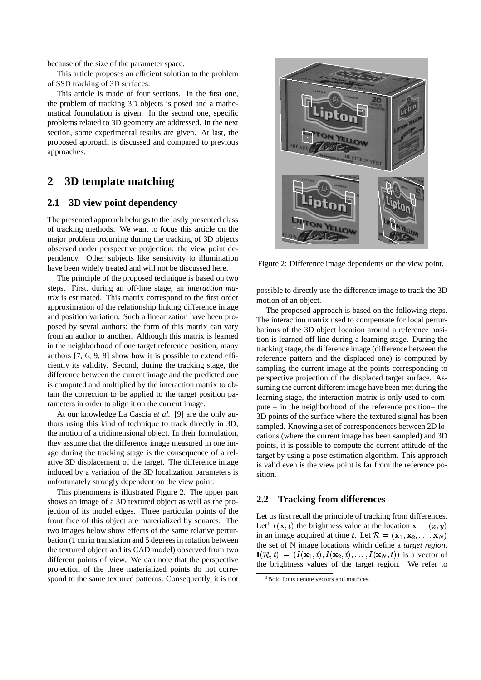because of the size of the parameter space.

This article proposes an efficient solution to the problem of SSD tracking of 3D surfaces.

This article is made of four sections. In the first one, the problem of tracking 3D objects is posed and a mathematical formulation is given. In the second one, specific problems related to 3D geometry are addressed. In the next section, some experimental results are given. At last, the proposed approach is discussed and compared to previous approaches.

## **2 3D template matching**

#### **2.1 3D view point dependency**

The presented approach belongs to the lastly presented class of tracking methods. We want to focus this article on the major problem occurring during the tracking of 3D objects observed under perspective projection: the view point dependency. Other subjects like sensitivity to illumination have been widely treated and will not be discussed here.

The principle of the proposed technique is based on two steps. First, during an off-line stage, an *interaction matrix* is estimated. This matrix correspond to the first order approximation of the relationship linking difference image and position variation. Such a linearization have been proposed by sevral authors; the form of this matrix can vary from an author to another. Although this matrix is learned in the neighborhood of one target reference position, many authors [7, 6, 9, 8] show how it is possible to extend efficiently its validity. Second, during the tracking stage, the difference between the current image and the predicted one is computed and multiplied by the interaction matrix to obtain the correction to be applied to the target position parameters in order to align it on the current image.

At our knowledge La Cascia *et al.* [9] are the only authors using this kind of technique to track directly in 3D, the motion of a tridimensional object. In their formulation, they assume that the difference image measured in one image during the tracking stage is the consequence of a relative 3D displacement of the target. The difference image induced by a variation of the 3D localization parameters is unfortunately strongly dependent on the view point.

This phenomena is illustrated Figure 2. The upper part shows an image of a 3D textured object as well as the projection of its model edges. Three particular points of the front face of this object are materialized by squares. The two images below show effects of the same relative perturbation (1 cm in translation and 5 degrees in rotation between the textured object and its CAD model) observed from two different points of view. We can note that the perspective projection of the three materialized points do not correspond to the same textured patterns. Consequently, it is not



Figure 2: Difference image dependents on the view point.

possible to directly use the difference image to track the 3D motion of an object.

The proposed approach is based on the following steps. The interaction matrix used to compensate for local perturbations of the 3D object location around a reference position is learned off-line during a learning stage. During the tracking stage, the difference image (difference between the reference pattern and the displaced one) is computed by sampling the current image at the points corresponding to perspective projection of the displaced target surface. Assuming the current different image have been met during the learning stage, the interaction matrix is only used to compute – in the neighborhood of the reference position– the 3D points of the surface where the textured signal has been sampled. Knowing a set of correspondences between 2D locations (where the current image has been sampled) and 3D points, it is possible to compute the current attitude of the target by using a pose estimation algorithm. This approach is valid even is the view point is far from the reference position.

### **2.2 Tracking from differences**

Let us first recall the principle of tracking from differences. Let<sup>1</sup>  $I(\mathbf{x}, t)$  the brightness value at the location  $\mathbf{x} = (x, y)$ in an image acquired at time t. Let  $\mathcal{R} = (\mathbf{x}_1, \mathbf{x}_2, \dots, \mathbf{x}_N)$ the set of N image locations which define a *target region*.  $I(R, t) = (I(\mathbf{x}_1, t), I(\mathbf{x}_2, t), \dots, I(\mathbf{x}_N, t))$  is a vector of the brightness values of the target region. We refer to

 $\overline{^{1}$ Bold fonts denote vectors and matrices.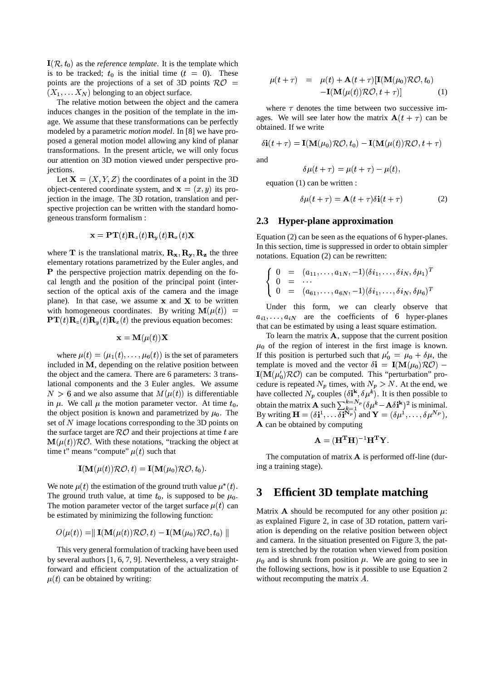$\mathbf{I}(\mathcal{R}, t_0)$  as the *reference template*. It is the template which is to be tracked;  $t_0$  is the initial time ( $t = 0$ ). These points are the projections of a set of 3D points  $R\mathcal{O}$  =  $(X_1, \ldots X_N)$  belonging to an object surface.

The relative motion between the object and the camera induces changes in the position of the template in the image. We assume that these transformations can be perfectly modeled by a parametric *motion model*. In [8] we have proposed a general motion model allowing any kind of planar transformations. In the present article, we will only focus our attention on 3D motion viewed under perspective projections.

Let  $X = (X, Y, Z)$  the coordinates of a point in the 3D object-centered coordinate system, and  $\mathbf{x} = (x, y)$  its projection in the image. The 3D rotation, translation and perspective projection can be written with the standard homogeneous transform formalism :

$$
\mathbf{x} = \mathbf{P} \mathbf{T}(t) \mathbf{R}_z(t) \mathbf{R}_y(t) \mathbf{R}_x(t) \mathbf{X}
$$

where T is the translational matrix,  $\mathbf{R}_{x}$ ,  $\mathbf{R}_{y}$ ,  $\mathbf{R}_{z}$  the three elementary rotations parametrized by the Euler angles, and P the perspective projection matrix depending on the focal length and the position of the principal point (intersection of the optical axis of the camera and the image plane). In that case, we assume  $x$  and  $x$  to be written with homogeneous coordinates. By writing  $\mathbf{M}(\mu(t))$  =  $\mathbf{PT}(t)\mathbf{R}_z(t)\mathbf{R}_u(t)\mathbf{R}_x(t)$  the previous equation becomes:

$$
\mathbf{x} = \mathbf{M}(\mu(t))\mathbf{X}
$$

where  $\mu(t) = (\mu_1(t), \dots, \mu_6(t))$  is the set of parameters included in  $M$ , depending on the relative position between the object and the camera. There are 6 parameters: 3 translational components and the 3 Euler angles. We assume  $N > 6$  and we also assume that  $M(\mu(t))$  is differentiable in  $\mu$ . We call  $\mu$  the motion parameter vector. At time  $t_0$ ,  $\alpha$ the object position is known and parametrized by  $\mu_0$ . The set of  $N$  image locations corresponding to the 3D points on the surface target are  $RO$  and their projections at time t are  $\mathbf{M}(\mu(t))\mathcal{R}\mathcal{O}$ . With these notations, "tracking the object at time t" means "compute"  $\mu(t)$  such that

$$
\mathbf{I}(\mathbf{M}(\mu(t))\mathcal{RO}, t) = \mathbf{I}(\mathbf{M}(\mu_0)\mathcal{RO}, t_0).
$$

We note  $\mu(t)$  the estimation of the ground truth value  $\mu^*(t)$ . The ground truth value, at time  $t_0$ , is supposed to be  $\mu_0$ . The motion parameter vector of the target surface  $\mu(t)$  can be estimated by minimizing the following function:

$$
O(\mu(t)) = || \mathbf{I}(\mathbf{M}(\mu(t))\mathcal{R}\mathcal{O}, t) - \mathbf{I}(\mathbf{M}(\mu_0)\mathcal{R}\mathcal{O}, t_0) || \qquad \qquad \text{at}
$$

This very general formulation of tracking have been used by several authors [1, 6, 7, 9]. Nevertheless, a very straightforward and efficient computation of the actualization of  $\mu(t)$  can be obtained by writing:

$$
\mu(t+\tau) = \mu(t) + \mathbf{A}(t+\tau)[\mathbf{I}(\mathbf{M}(\mu_0)\mathcal{R}\mathcal{O}, t_0) \n-\mathbf{I}(\mathbf{M}(\mu(t))\mathcal{R}\mathcal{O}, t+\tau)]
$$
\n(1)

where  $\tau$  denotes the time between two successive images. We will see later how the matrix  $\mathbf{A}(t + \tau)$  can be obtained. If we write

$$
\delta \mathbf{i}(t+\tau) = \mathbf{I}(\mathbf{M}(\mu_0)\mathcal{R}\mathcal{O}, t_0) - \mathbf{I}(\mathbf{M}(\mu(t))\mathcal{R}\mathcal{O}, t+\tau)
$$

and

$$
\delta\mu(t+\tau)=\mu(t+\tau)-\mu(t),
$$

equation (1) can be written :

$$
\delta\mu(t+\tau) = \mathbf{A}(t+\tau)\delta\mathbf{i}(t+\tau) \tag{2}
$$

#### **2.3 Hyper-plane approximation**

Equation (2) can be seen as the equations of 6 hyper-planes. In this section, time is suppressed in order to obtain simpler notations. Equation (2) can be rewritten:

$$
\begin{cases}\n0 & = (a_{11}, \ldots, a_{1N}, -1)(\delta i_1, \ldots, \delta i_N, \delta \mu_1)^T \\
0 & = \ldots \\
0 & = (a_{61}, \ldots, a_{6N}, -1)(\delta i_1, \ldots, \delta i_N, \delta \mu_6)^T\n\end{cases}
$$

Under this form, we can clearly observe that  $a_{i1}, \ldots, a_{iN}$  are the coefficients of 6 hyper-planes that can be estimated by using a least square estimation.

To learn the matrix  $A$ , suppose that the current position  $\mu_0$  of the region of interest in the first image is known. If this position is perturbed such that  $\mu'_0 = \mu_0 + \delta \mu$ , the template is moved and the vector  $\delta i = I(M(\mu_0) \mathcal{RO})$  –  $\mathbf{I}(\mathbf{M}(\mu_0')\mathcal{R}\mathcal{O})$  can be computed. This "perturbation" procedure is repeated  $N_p$  times, with  $N_p > N$ . At the end, we have collected  $N_p$  couples  $(\delta i^k, \delta \mu^k)$ . It is then possible to obtain the matrix **A** such  $\sum_{k=1}^{k=N_p} (\delta \mu^k - A \delta i^k)^2$  is minimal. By writing  $\mathbf{H} = (\delta \mathbf{i}^1, \dots \delta \mathbf{i}^{\mathbf{N}_p})$  and  $\mathbf{Y} = (\delta \mu^1, \dots, \delta \mu^{N_P}),$  $\bf{A}$  can be obtained by computing

$$
\mathbf{A} = (\mathbf{H}^{\mathbf{T}} \mathbf{H})^{-1} \mathbf{H}^{\mathbf{T}} \mathbf{Y}.
$$

The computation of matrix  $\bf{A}$  is performed off-line (during a training stage).

## **3 Efficient 3D template matching**

Matrix **A** should be recomputed for any other position  $\mu$ : as explained Figure 2, in case of 3D rotation, pattern variation is depending on the relative position between object and camera. In the situation presented on Figure 3, the pattern is stretched by the rotation when viewed from position  $\mu_0$  and is shrunk from position  $\mu$ . We are going to see in the following sections, how is it possible to use Equation 2 without recomputing the matrix  $A$ .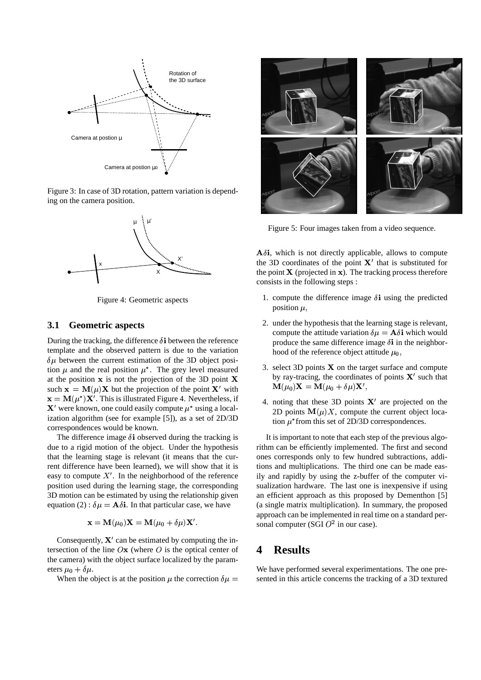

Figure 3: In case of 3D rotation, pattern variation is depending on the camera position.



Figure 4: Geometric aspects

#### **3.1 Geometric aspects**

During the tracking, the difference  $\delta i$  between the reference template and the observed pattern is due to the variation  $\delta u$  between the current estimation of the 3D object position  $\mu$  and the real position  $\mu^*$ . The grey level measured at the position  $x$  is not the projection of the 3D point  $X$ such  $\mathbf{x} = \mathbf{M}(\mu) \mathbf{X}$  but the projection of the point  $\mathbf{X}^t$  with  $$  $X'$  were known, one could easily compute  $\mu^*$  using a localization algorithm (see for example [5]), as a set of 2D/3D correspondences would be known.

The difference image  $\delta i$  observed during the tracking is due to a rigid motion of the object. Under the hypothesis that the learning stage is relevant (it means that the current difference have been learned), we will show that it is easy to compute  $X'$ . In the neighborhood of the reference position used during the learning stage, the corresponding 3D motion can be estimated by using the relationship given equation (2) :  $\delta \mu = A \delta i$ . In that particular case, we have

$$
\mathbf{x} = \mathbf{M}(\mu_0) \mathbf{X} = \mathbf{M}(\mu_0 + \delta \mu) \mathbf{X}'.
$$

Consequently,  $X'$  can be estimated by computing the intersection of the line  $Ox$  (where  $O$  is the optical center of the camera) with the object surface localized by the parameters  $\mu_0 + \delta \mu$ .

When the object is at the position  $\mu$  the correction  $\delta \mu =$ 



Figure 5: Four images taken from a video sequence.

 $\mathbf{\hat{A}}\delta\mathbf{i}$ , which is not directly applicable, allows to compute the 3D coordinates of the point  $X'$  that is substituted for the point  $X$  (projected in  $x$ ). The tracking process therefore consists in the following steps :

- 1. compute the difference image  $\delta i$  using the predicted position  $\mu$ .
- 2. under the hypothesis that the learning stage is relevant, compute the attitude variation  $\delta \mu = A \delta i$  which would produce the same difference image  $\delta i$  in the neighborhood of the reference object attitude  $\mu_0$ .
- 3. select 3D points  $X$  on the target surface and compute by ray-tracing, the coordinates of points  $X'$  such that  $\mathbf{M}(\mu_0) \mathbf{X} = \mathbf{M}(\mu_0 + \delta \mu) \mathbf{X}',$
- 4. noting that these 3D points  $X'$  are projected on the 2D points  $\mathbf{M}(u)X$ , compute the current object location  $\mu^*$  from this set of 2D/3D correspondences.

It is important to note that each step of the previous algorithm can be efficiently implemented. The first and second ones corresponds only to few hundred subtractions, additions and multiplications. The third one can be made easily and rapidly by using the z-buffer of the computer visualization hardware. The last one is inexpensive if using an efficient approach as this proposed by Dementhon [5] (a single matrix multiplication). In summary, the proposed approach can be implemented in real time on a standard personal computer (SGI  $O^2$  in our case).

## **4 Results**

We have performed several experimentations. The one presented in this article concerns the tracking of a 3D textured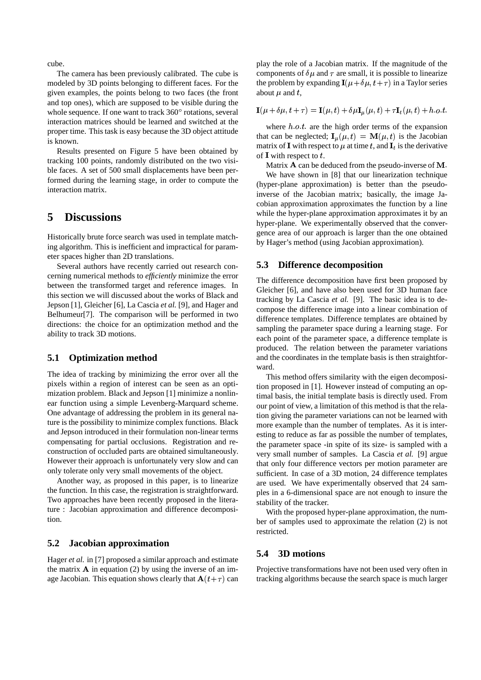cube.

The camera has been previously calibrated. The cube is modeled by 3D points belonging to different faces. For the given examples, the points belong to two faces (the front and top ones), which are supposed to be visible during the whole sequence. If one want to track  $360^\circ$  rotations, several interaction matrices should be learned and switched at the proper time. This task is easy because the 3D object attitude is known.

Results presented on Figure 5 have been obtained by tracking 100 points, randomly distributed on the two visible faces. A set of 500 small displacements have been performed during the learning stage, in order to compute the interaction matrix.

## **5 Discussions**

Historically brute force search was used in template matching algorithm. This is inefficient and impractical for parameter spaces higher than 2D translations.

Several authors have recently carried out research concerning numerical methods to *efficiently* minimize the error between the transformed target and reference images. In this section we will discussed about the works of Black and Jepson [1], Gleicher [6], La Cascia *et al.* [9]*,* and Hager and Belhumeur[7]. The comparison will be performed in two directions: the choice for an optimization method and the ability to track 3D motions.

#### **5.1 Optimization method**

The idea of tracking by minimizing the error over all the pixels within a region of interest can be seen as an optimization problem. Black and Jepson [1] minimize a nonlinear function using a simple Levenberg-Marquard scheme. One advantage of addressing the problem in its general nature is the possibility to minimize complex functions. Black and Jepson introduced in their formulation non-linear terms compensating for partial occlusions. Registration and reconstruction of occluded parts are obtained simultaneously. However their approach is unfortunately very slow and can only tolerate only very small movements of the object.

Another way, as proposed in this paper, is to linearize the function. In this case, the registration is straightforward. Two approaches have been recently proposed in the literature : Jacobian approximation and difference decomposition.

#### **5.2 Jacobian approximation**

Hager *et al.* in [7] proposed a similar approach and estimate the matrix  $\bf{A}$  in equation (2) by using the inverse of an image Jacobian. This equation shows clearly that  $\mathbf{A}(t+\tau)$  can play the role of a Jacobian matrix. If the magnitude of the components of  $\delta\mu$  and  $\tau$  are small, it is possible to linearize the problem by expanding  $\mathbf{I}(\mu + \delta\mu, t + \tau)$  in a Taylor series about  $\mu$  and  $t$ ,

$$
\mathbf{I}(\mu + \delta\mu, t + \tau) = \mathbf{I}(\mu, t) + \delta\mu \mathbf{I}_{\mu}(\mu, t) + \tau \mathbf{I}_{t}(\mu, t) + h.o.t.
$$

where  $h.o.t.$  are the high order terms of the expansion that can be neglected;  $I_{\mu}(\mu, t) = \mathbf{M}(\mu, t)$  is the Jacobian matrix of I with respect to  $\mu$  at time t, and  $I_t$  is the derivative of **I** with respect to  $t$ .

Matrix  $\bf{A}$  can be deduced from the pseudo-inverse of  $\bf{M}$ .

We have shown in [8] that our linearization technique (hyper-plane approximation) is better than the pseudoinverse of the Jacobian matrix; basically, the image Jacobian approximation approximates the function by a line while the hyper-plane approximation approximates it by an hyper-plane. We experimentally observed that the convergence area of our approach is larger than the one obtained by Hager's method (using Jacobian approximation).

#### **5.3 Difference decomposition**

The difference decomposition have first been proposed by Gleicher [6], and have also been used for 3D human face tracking by La Cascia *et al.* [9]. The basic idea is to decompose the difference image into a linear combination of difference templates. Difference templates are obtained by sampling the parameter space during a learning stage. For each point of the parameter space, a difference template is produced. The relation between the parameter variations and the coordinates in the template basis is then straightforward.

This method offers similarity with the eigen decomposition proposed in [1]. However instead of computing an optimal basis, the initial template basis is directly used. From our point of view, a limitation of this method is that the relation giving the parameter variations can not be learned with more example than the number of templates. As it is interesting to reduce as far as possible the number of templates, the parameter space -in spite of its size- is sampled with a very small number of samples. La Cascia *et al.* [9] argue that only four difference vectors per motion parameter are sufficient. In case of a 3D motion, 24 difference templates are used. We have experimentally observed that 24 samples in a 6-dimensional space are not enough to insure the stability of the tracker.

With the proposed hyper-plane approximation, the number of samples used to approximate the relation (2) is not restricted.

#### **5.4 3D motions**

Projective transformations have not been used very often in tracking algorithms because the search space is much larger